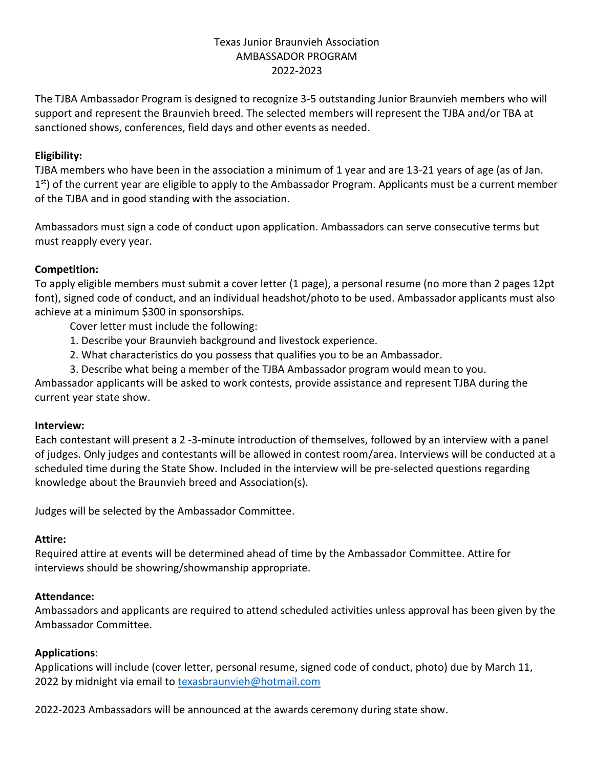## Texas Junior Braunvieh Association AMBASSADOR PROGRAM 2022-2023

The TJBA Ambassador Program is designed to recognize 3-5 outstanding Junior Braunvieh members who will support and represent the Braunvieh breed. The selected members will represent the TJBA and/or TBA at sanctioned shows, conferences, field days and other events as needed.

## **Eligibility:**

TJBA members who have been in the association a minimum of 1 year and are 13-21 years of age (as of Jan. 1<sup>st</sup>) of the current year are eligible to apply to the Ambassador Program. Applicants must be a current member of the TJBA and in good standing with the association.

Ambassadors must sign a code of conduct upon application. Ambassadors can serve consecutive terms but must reapply every year.

### **Competition:**

To apply eligible members must submit a cover letter (1 page), a personal resume (no more than 2 pages 12pt font), signed code of conduct, and an individual headshot/photo to be used. Ambassador applicants must also achieve at a minimum \$300 in sponsorships.

Cover letter must include the following:

- 1. Describe your Braunvieh background and livestock experience.
- 2. What characteristics do you possess that qualifies you to be an Ambassador.
- 3. Describe what being a member of the TJBA Ambassador program would mean to you.

Ambassador applicants will be asked to work contests, provide assistance and represent TJBA during the current year state show.

#### **Interview:**

Each contestant will present a 2 -3-minute introduction of themselves, followed by an interview with a panel of judges. Only judges and contestants will be allowed in contest room/area. Interviews will be conducted at a scheduled time during the State Show. Included in the interview will be pre-selected questions regarding knowledge about the Braunvieh breed and Association(s).

Judges will be selected by the Ambassador Committee.

#### **Attire:**

Required attire at events will be determined ahead of time by the Ambassador Committee. Attire for interviews should be showring/showmanship appropriate.

#### **Attendance:**

Ambassadors and applicants are required to attend scheduled activities unless approval has been given by the Ambassador Committee.

#### **Applications**:

Applications will include (cover letter, personal resume, signed code of conduct, photo) due by March 11, 2022 by midnight via email to [texasbraunvieh@hotmail.com](mailto:texasbraunvieh@hotmail.com)

2022-2023 Ambassadors will be announced at the awards ceremony during state show.